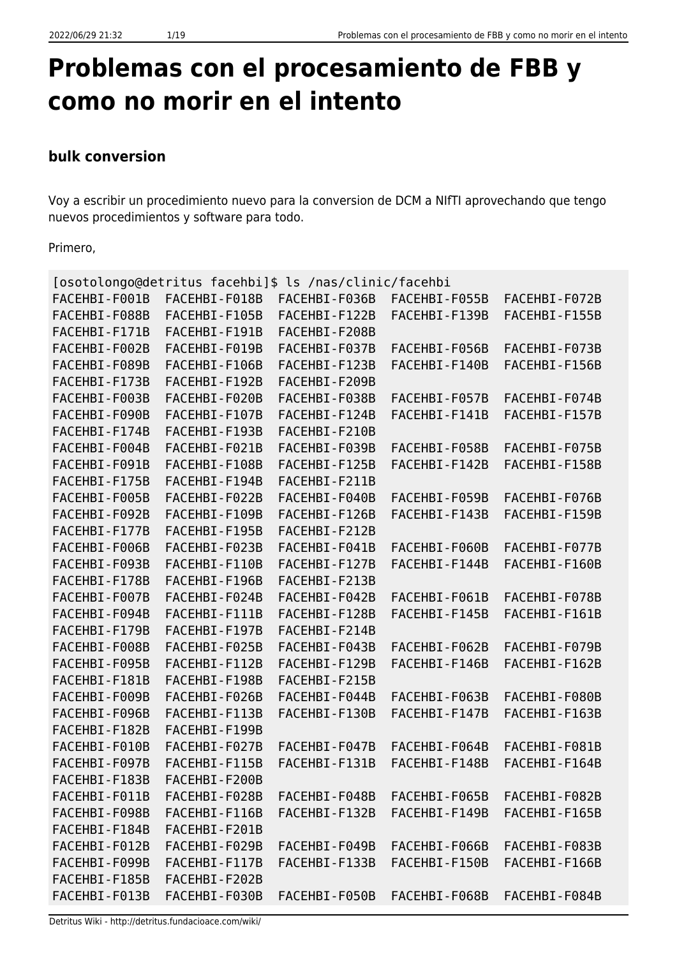# **Problemas con el procesamiento de FBB y como no morir en el intento**

## **bulk conversion**

Voy a escribir un procedimiento nuevo para la conversion de DCM a NIfTI aprovechando que tengo nuevos procedimientos y software para todo.

Primero,

|               |               | [osotolongo@detritus facehbi]\$ ls /nas/clinic/facehbi |               |               |
|---------------|---------------|--------------------------------------------------------|---------------|---------------|
| FACEHBI-F001B | FACEHBI-F018B | FACEHBI-F036B                                          | FACEHBI-F055B | FACEHBI-F072B |
| FACEHBI-F088B | FACEHBI-F105B | FACEHBI-F122B                                          | FACEHBI-F139B | FACEHBI-F155B |
| FACEHBI-F171B | FACEHBI-F191B | FACEHBI-F208B                                          |               |               |
| FACEHBI-F002B | FACEHBI-F019B | FACEHBI-F037B                                          | FACEHBI-F056B | FACEHBI-F073B |
| FACEHBI-F089B | FACEHBI-F106B | FACEHBI-F123B                                          | FACEHBI-F140B | FACEHBI-F156B |
| FACEHBI-F173B | FACEHBI-F192B | FACEHBI-F209B                                          |               |               |
| FACEHBI-F003B | FACEHBI-F020B | FACEHBI-F038B                                          | FACEHBI-F057B | FACEHBI-F074B |
| FACEHBI-F090B | FACEHBI-F107B | FACEHBI-F124B                                          | FACEHBI-F141B | FACEHBI-F157B |
| FACEHBI-F174B | FACEHBI-F193B | FACEHBI-F210B                                          |               |               |
| FACEHBI-F004B | FACEHBI-F021B | FACEHBI-F039B                                          | FACEHBI-F058B | FACEHBI-F075B |
| FACEHBI-F091B | FACEHBI-F108B | FACEHBI-F125B                                          | FACEHBI-F142B | FACEHBI-F158B |
| FACEHBI-F175B | FACEHBI-F194B | FACEHBI-F211B                                          |               |               |
| FACEHBI-F005B | FACEHBI-F022B | FACEHBI-F040B                                          | FACEHBI-F059B | FACEHBI-F076B |
| FACEHBI-F092B | FACEHBI-F109B | FACEHBI-F126B                                          | FACEHBI-F143B | FACEHBI-F159B |
| FACEHBI-F177B | FACEHBI-F195B | FACEHBI-F212B                                          |               |               |
| FACEHBI-F006B | FACEHBI-F023B | FACEHBI-F041B                                          | FACEHBI-F060B | FACEHBI-F077B |
| FACEHBI-F093B | FACEHBI-F110B | FACEHBI-F127B                                          | FACEHBI-F144B | FACEHBI-F160B |
| FACEHBI-F178B | FACEHBI-F196B | FACEHBI-F213B                                          |               |               |
| FACEHBI-F007B | FACEHBI-F024B | FACEHBI-F042B                                          | FACEHBI-F061B | FACEHBI-F078B |
| FACEHBI-F094B | FACEHBI-F111B | FACEHBI-F128B                                          | FACEHBI-F145B | FACEHBI-F161B |
| FACEHBI-F179B | FACEHBI-F197B | FACEHBI-F214B                                          |               |               |
| FACEHBI-F008B | FACEHBI-F025B | FACEHBI-F043B                                          | FACEHBI-F062B | FACEHBI-F079B |
| FACEHBI-F095B | FACEHBI-F112B | FACEHBI-F129B                                          | FACEHBI-F146B | FACEHBI-F162B |
| FACEHBI-F181B | FACEHBI-F198B | FACEHBI-F215B                                          |               |               |
| FACEHBI-F009B | FACEHBI-F026B | FACEHBI-F044B                                          | FACEHBI-F063B | FACEHBI-F080B |
| FACEHBI-F096B | FACEHBI-F113B | FACEHBI-F130B                                          | FACEHBI-F147B | FACEHBI-F163B |
| FACEHBI-F182B | FACEHBI-F199B |                                                        |               |               |
| FACEHBI-F010B | FACEHBI-F027B | FACEHBI-F047B                                          | FACEHBI-F064B | FACEHBI-F081B |
| FACEHBI-F097B | FACEHBI-F115B | FACEHBI-F131B                                          | FACEHBI-F148B | FACEHBI-F164B |
| FACEHBI-F183B | FACEHBI-F200B |                                                        |               |               |
| FACEHBI-F011B | FACEHBI-F028B | FACEHBI-F048B                                          | FACEHBI-F065B | FACEHBI-F082B |
| FACEHBI-F098B | FACEHBI-F116B | FACEHBI-F132B                                          | FACEHBI-F149B | FACEHBI-F165B |
| FACEHBI-F184B | FACEHBI-F201B |                                                        |               |               |
| FACEHBI-F012B | FACEHBI-F029B | FACEHBI-F049B                                          | FACEHBI-F066B | FACEHBI-F083B |
| FACEHBI-F099B | FACEHBI-F117B | FACEHBI-F133B                                          | FACEHBI-F150B | FACEHBI-F166B |
| FACEHBI-F185B | FACEHBI-F202B |                                                        |               |               |
| FACEHBI-F013B | FACEHBI-F030B | FACEHBI-F050B                                          | FACEHBI-F068B | FACEHBI-F084B |

Detritus Wiki - http://detritus.fundacioace.com/wiki/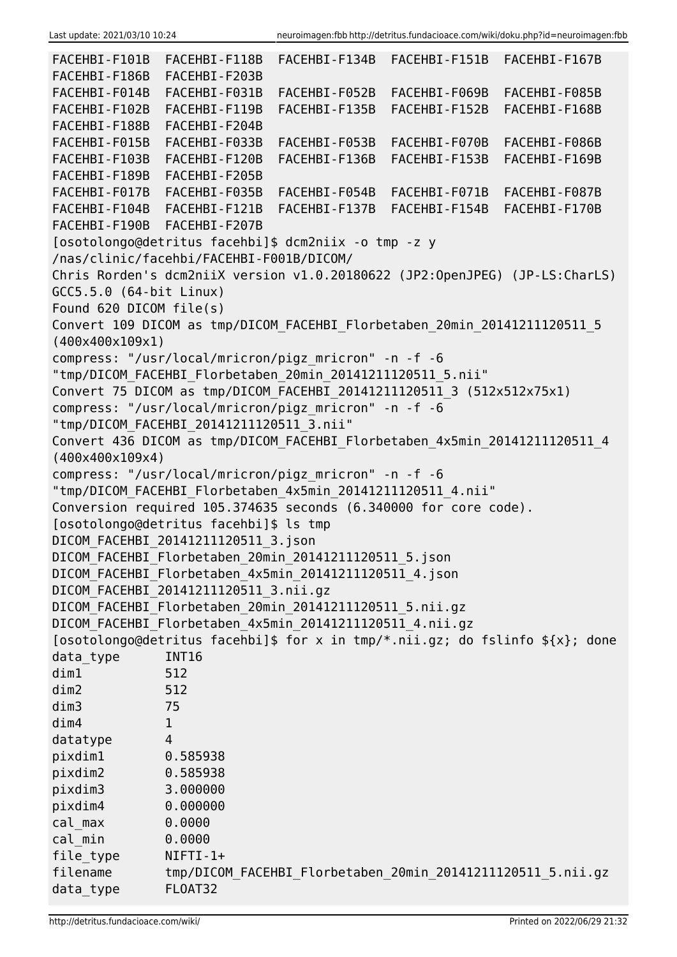| FACEHBI-F101B               | FACEHBI-F118B                                                                                                       | FACEHBI-F134B | FACEHBI-F151B                                               | FACEHBI-F167B                                                                   |
|-----------------------------|---------------------------------------------------------------------------------------------------------------------|---------------|-------------------------------------------------------------|---------------------------------------------------------------------------------|
| FACEHBI-F186B               | FACEHBI-F203B                                                                                                       |               |                                                             |                                                                                 |
| FACEHBI-F014B               | FACEHBI-F031B                                                                                                       | FACEHBI-F052B | FACEHBI-F069B                                               | FACEHBI-F085B                                                                   |
| FACEHBI-F102B               | FACEHBI-F119B                                                                                                       | FACEHBI-F135B | FACEHBI-F152B                                               | FACEHBI-F168B                                                                   |
| FACEHBI-F188B               | FACEHBI-F204B                                                                                                       |               |                                                             |                                                                                 |
| FACEHBI-F015B               | FACEHBI-F033B                                                                                                       | FACEHBI-F053B | FACEHBI-F070B                                               | FACEHBI-F086B                                                                   |
| FACEHBI-F103B               | FACEHBI-F120B                                                                                                       | FACEHBI-F136B | FACEHBI-F153B                                               | FACEHBI-F169B                                                                   |
| FACEHBI-F189B               | FACEHBI-F205B                                                                                                       |               |                                                             |                                                                                 |
| FACEHBI-F017B               | FACEHBI-F035B                                                                                                       | FACEHBI-F054B | FACEHBI-F071B                                               | FACEHBI-F087B                                                                   |
| FACEHBI-F104B               | FACEHBI-F121B                                                                                                       | FACEHBI-F137B | FACEHBI-F154B                                               | FACEHBI-F170B                                                                   |
| FACEHBI-F190B FACEHBI-F207B |                                                                                                                     |               |                                                             |                                                                                 |
|                             | [osotolongo@detritus facehbi]\$ dcm2niix -o tmp -z y                                                                |               |                                                             |                                                                                 |
|                             | /nas/clinic/facehbi/FACEHBI-F001B/DICOM/                                                                            |               |                                                             |                                                                                 |
|                             |                                                                                                                     |               |                                                             | Chris Rorden's dcm2niiX version v1.0.20180622 (JP2:0penJPEG) (JP-LS:CharLS)     |
| GCC5.5.0 (64-bit Linux)     |                                                                                                                     |               |                                                             |                                                                                 |
| Found 620 DICOM file(s)     |                                                                                                                     |               |                                                             |                                                                                 |
|                             | Convert 109 DICOM as tmp/DICOM_FACEHBI_Florbetaben_20min_20141211120511_5                                           |               |                                                             |                                                                                 |
| (400x400x109x1)             |                                                                                                                     |               |                                                             |                                                                                 |
|                             | compress: "/usr/local/mricron/pigz mricron" -n -f -6                                                                |               |                                                             |                                                                                 |
|                             | "tmp/DICOM_FACEHBI_Florbetaben_20min_20141211120511_5.nii"                                                          |               |                                                             |                                                                                 |
|                             | Convert 75 DICOM as tmp/DICOM FACEHBI 20141211120511 3 (512x512x75x1)                                               |               |                                                             |                                                                                 |
|                             | compress: "/usr/local/mricron/pigz_mricron" -n -f -6                                                                |               |                                                             |                                                                                 |
|                             | "tmp/DICOM_FACEHBI_20141211120511_3.nii"                                                                            |               |                                                             |                                                                                 |
|                             | Convert 436 DICOM as tmp/DICOM_FACEHBI_Florbetaben_4x5min_20141211120511_4                                          |               |                                                             |                                                                                 |
| (400x400x109x4)             |                                                                                                                     |               |                                                             |                                                                                 |
|                             | compress: "/usr/local/mricron/pigz_mricron" -n -f -6                                                                |               |                                                             |                                                                                 |
|                             | "tmp/DICOM_FACEHBI_Florbetaben_4x5min_20141211120511_4.nii"                                                         |               |                                                             |                                                                                 |
|                             | Conversion required 105.374635 seconds (6.340000 for core code).<br>[osotolongo@detritus facehbi]\$ ls tmp          |               |                                                             |                                                                                 |
|                             |                                                                                                                     |               |                                                             |                                                                                 |
|                             | DICOM FACEHBI 20141211120511 3.json                                                                                 |               |                                                             |                                                                                 |
|                             | DICOM_FACEHBI_Florbetaben_20min_20141211120511_5.json                                                               |               |                                                             |                                                                                 |
|                             | DICOM FACEHBI Florbetaben 4x5min 20141211120511 4.json<br>DICOM FACEHBI 20141211120511 3.nii.gz                     |               |                                                             |                                                                                 |
|                             |                                                                                                                     |               |                                                             |                                                                                 |
|                             | DICOM FACEHBI Florbetaben 20min 20141211120511 5.nii.gz<br>DICOM_FACEHBI_Florbetaben_4x5min_20141211120511_4.nii.gz |               |                                                             |                                                                                 |
|                             |                                                                                                                     |               |                                                             | [osotolongo@detritus facehbi]\$ for x in tmp/*.nii.gz; do fslinfo $f(x)$ ; done |
| data_type                   | <b>INT16</b>                                                                                                        |               |                                                             |                                                                                 |
| dim1                        | 512                                                                                                                 |               |                                                             |                                                                                 |
| dim2                        | 512                                                                                                                 |               |                                                             |                                                                                 |
| dim3                        | 75                                                                                                                  |               |                                                             |                                                                                 |
| dim4                        | 1                                                                                                                   |               |                                                             |                                                                                 |
| datatype                    | 4                                                                                                                   |               |                                                             |                                                                                 |
| pixdim1                     | 0.585938                                                                                                            |               |                                                             |                                                                                 |
| pixdim2                     | 0.585938                                                                                                            |               |                                                             |                                                                                 |
| pixdim3                     | 3.000000                                                                                                            |               |                                                             |                                                                                 |
| pixdim4                     | 0.000000                                                                                                            |               |                                                             |                                                                                 |
| cal max                     | 0.0000                                                                                                              |               |                                                             |                                                                                 |
| cal min                     | 0.0000                                                                                                              |               |                                                             |                                                                                 |
| file type                   | $NIFTI-1+$                                                                                                          |               |                                                             |                                                                                 |
| filename                    |                                                                                                                     |               | tmp/DICOM_FACEHBI_Florbetaben_20min_20141211120511_5.nii.gz |                                                                                 |
| data_type                   | FL0AT32                                                                                                             |               |                                                             |                                                                                 |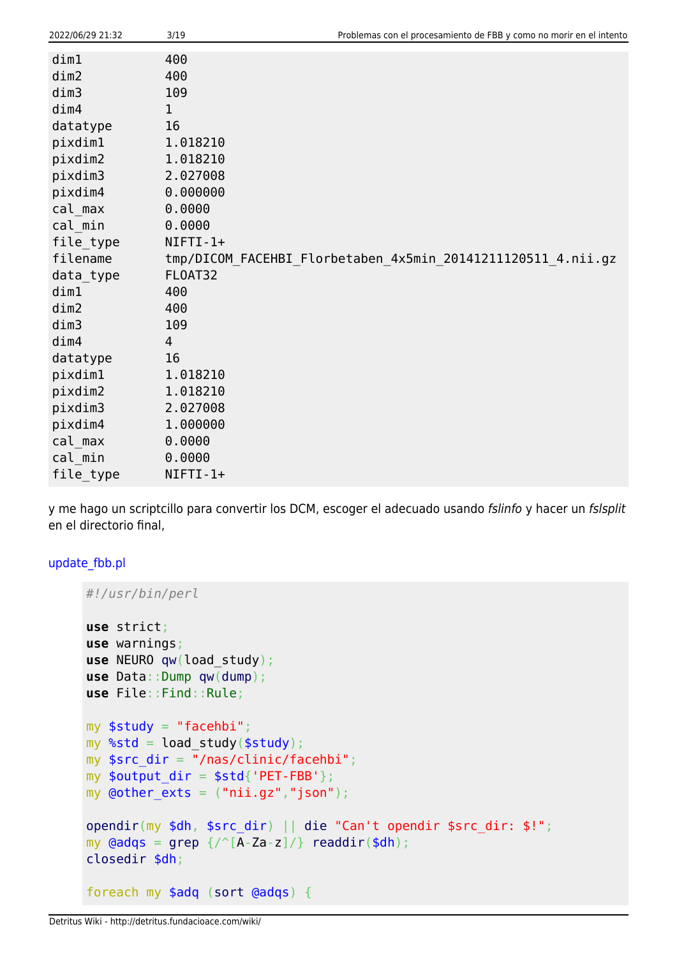| 2022/06/29 21:32 | 3/19           | Problemas con el procesamiento de FBB y como no morir en el intento |
|------------------|----------------|---------------------------------------------------------------------|
| dim1             | 400            |                                                                     |
| dim2             | 400            |                                                                     |
| dim3             | 109            |                                                                     |
| dim4             | 1              |                                                                     |
| datatype         | 16             |                                                                     |
| pixdim1          | 1.018210       |                                                                     |
| pixdim2          | 1.018210       |                                                                     |
| pixdim3          | 2.027008       |                                                                     |
| pixdim4          | 0.000000       |                                                                     |
| cal max          | 0.0000         |                                                                     |
| cal min          | 0.0000         |                                                                     |
| file_type        | $NIFTI-1+$     |                                                                     |
| filename         |                | tmp/DICOM_FACEHBI_Florbetaben_4x5min_20141211120511_4.nii.gz        |
| data_type        | FLOAT32        |                                                                     |
| dim1             | 400            |                                                                     |
| dim2             | 400            |                                                                     |
| dim3             | 109            |                                                                     |
| dim4             | $\overline{4}$ |                                                                     |
| datatype         | 16             |                                                                     |
| pixdim1          | 1.018210       |                                                                     |
| pixdim2          | 1.018210       |                                                                     |
| pixdim3          | 2.027008       |                                                                     |
| pixdim4          | 1.000000       |                                                                     |
| cal max          | 0.0000         |                                                                     |
| cal min          | 0.0000         |                                                                     |
| file_type        | NIFTI-1+       |                                                                     |

y me hago un scriptcillo para convertir los DCM, escoger el adecuado usando fslinfo y hacer un fslsplit en el directorio final,

#### [update\\_fbb.pl](http://detritus.fundacioace.com/wiki/doku.php?do=export_code&id=neuroimagen:fbb&codeblock=1)

```
#!/usr/bin/perl
use strict;
use warnings;
use NEURO qw(load_study);
use Data::Dump qw(dump);
use File::Find::Rule;
my $study = "facehbi";my %std = load_study($study);
my $src dir = "/nas/clinic/facehbi";my $output dir = $std{'}}'PET-FBB'};
my \phiother exts = ("nii.gz","json");
opendir(my $dh, $src_dir) || die "Can't opendir $src_dir: $!";
my grep \ {/\textdegree} [A-Za-z]/\}readdir($dh);
closedir $dh;
foreach my $adq (sort @adqs) {
```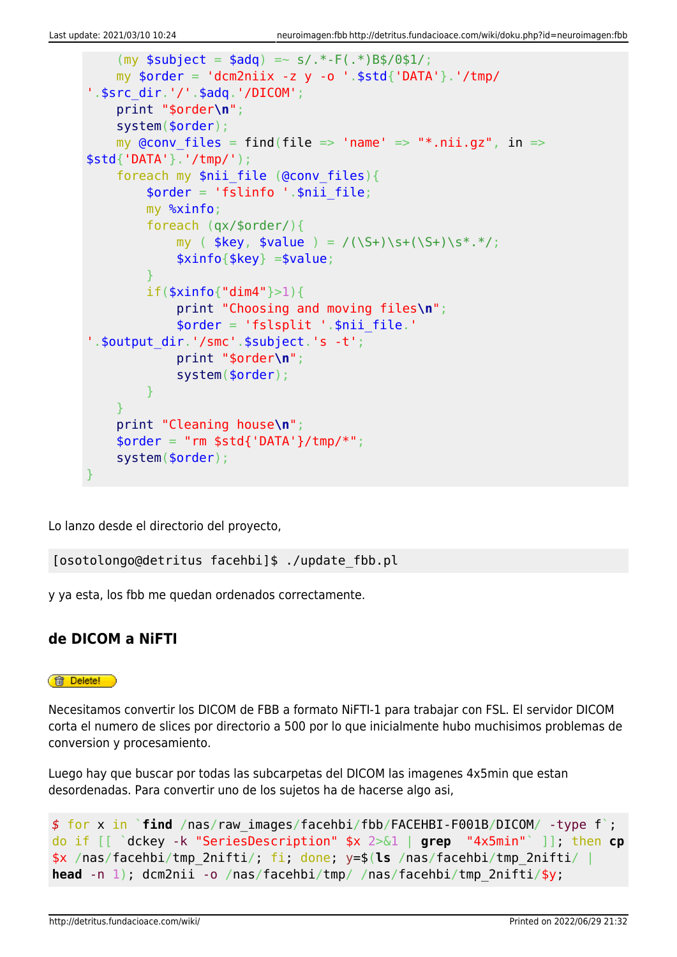```
(mv soubiect = sada) = ~ s/.* - F(.*)Bs/0s1/;
    my $order = 'dem2niix -z y -o'.$std{'DATA'}}.' /tmp/'.$src_dir.'/'.$adq.'/DICOM';
     print "$order\n";
     system($order);
    my @conv files = find(file => 'name' => "*.nii.gz", in =>
$std{'DATA'}.'/tmp/');
    foreach my $nii file (@conv files){
        \text{border} = 'fslinfo ' . \text{snii file}; my %xinfo;
         foreach (qx/$order/){
            my ( $key, $value ) = /(\S+)\s+(\S+)\s+.*,'; $xinfo{$key} =$value;
 }
         if($xinfo{"dim4"}>1){
             print "Choosing and moving files\n";
             $order = 'fslsplit '.$nii_file.'
'.$output_dir.'/smc'.$subject.'s -t';
             print "$order\n";
             system($order);
         }
 }
     print "Cleaning house\n";
    $order = "rm $std{'DATA'}}/tmp/*"; system($order);
}
```
Lo lanzo desde el directorio del proyecto,

[osotolongo@detritus facehbi]\$ ./update\_fbb.pl

y ya esta, los fbb me quedan ordenados correctamente.

## **de DICOM a NiFTI**

#### **ff** Delete!

Necesitamos convertir los DICOM de FBB a formato NiFTI-1 para trabajar con FSL. El servidor DICOM corta el numero de slices por directorio a 500 por lo que inicialmente hubo muchisimos problemas de conversion y procesamiento.

Luego hay que buscar por todas las subcarpetas del DICOM las imagenes 4x5min que estan desordenadas. Para convertir uno de los sujetos ha de hacerse algo asi,

```
$ for x in `find /nas/raw_images/facehbi/fbb/FACEHBI-F001B/DICOM/ -type f`;
do if [[ `dckey -k "SeriesDescription" $x 2>&1 | grep "4x5min"` ]]; then cp
$x /nas/facehbi/tmp_2nifti/; fi; done; y=$(ls /nas/facehbi/tmp_2nifti/ |
head -n 1); dcm2nii -o /nas/facehbi/tmp/ /nas/facehbi/tmp_2nifti/$y;
```
http://detritus.fundacioace.com/wiki/ Printed on 2022/06/29 21:32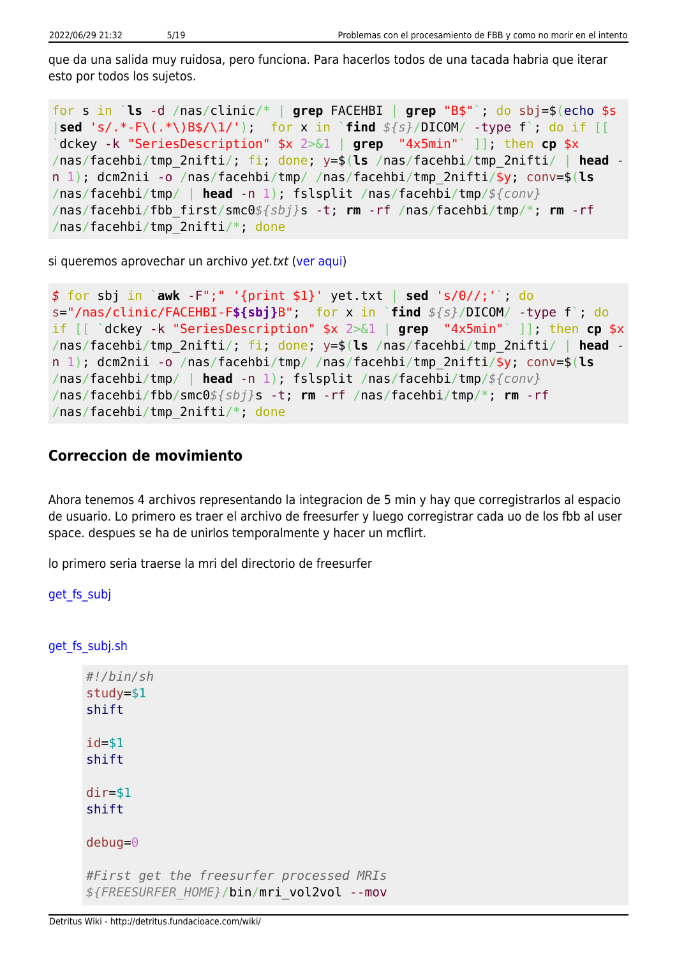que da una salida muy ruidosa, pero funciona. Para hacerlos todos de una tacada habria que iterar esto por todos los sujetos.

for s in `**ls** -d /nas/clinic/\* | **grep** FACEHBI | **grep** "B\$"`; do sbj=\$(echo \$s |**sed** 's/.\*-F\(.\*\)B\$/\1/'); for x in `**find** *\${s}*/DICOM/ -type f`; do if [[ `dckey -k "SeriesDescription" \$x 2>&1 | **grep** "4x5min"` ]]; then **cp** \$x /nas/facehbi/tmp\_2nifti/; fi; done; y=\$(**ls** /nas/facehbi/tmp\_2nifti/ | **head** n 1); dcm2nii -o /nas/facehbi/tmp/ /nas/facehbi/tmp\_2nifti/\$y; conv=\$(**ls** /nas/facehbi/tmp/ | **head** -n 1); fslsplit /nas/facehbi/tmp/*\${conv}* /nas/facehbi/fbb\_first/smc0*\${sbj}*s -t; **rm** -rf /nas/facehbi/tmp/\*; **rm** -rf /nas/facehbi/tmp\_2nifti/\*; done

si queremos aprovechar un archivo yet.txt ([ver aqui](http://detritus.fundacioace.com/wiki/doku.php?id=neuroimagen:facehbi))

```
$ for sbj in `awk -F";" '{print $1}' yet.txt | sed 's/0//;'`; do
s="/nas/clinic/FACEHBI-F${sbj}B"; for x in `find ${s}/DICOM/ -type f`; do
if [[ `dckey -k "SeriesDescription" $x 2>&1 | grep "4x5min"` ]]; then cp $x
/nas/facehbi/tmp_2nifti/; fi; done; y=$(ls /nas/facehbi/tmp_2nifti/ | head -
n 1); dcm2nii -o /nas/facehbi/tmp/ /nas/facehbi/tmp_2nifti/$y; conv=$(ls
/nas/facehbi/tmp/ | head -n 1); fslsplit /nas/facehbi/tmp/${conv}
/nas/facehbi/fbb/smc0${sbj}s -t; rm -rf /nas/facehbi/tmp/*; rm -rf
/nas/facehbi/tmp_2nifti/*; done
```
#### **Correccion de movimiento**

Ahora tenemos 4 archivos representando la integracion de 5 min y hay que corregistrarlos al espacio de usuario. Lo primero es traer el archivo de freesurfer y luego corregistrar cada uo de los fbb al user space. despues se ha de unirlos temporalmente y hacer un mcflirt.

lo primero seria traerse la mri del directorio de freesurfer

```
get fs subj
```
get fs subj.sh

```
#!/bin/sh
study=$1
shift
id = $1shift
dir=$1
shift
debug=0
#First get the freesurfer processed MRIs
${FREESURFER_HOME}/bin/mri_vol2vol --mov
```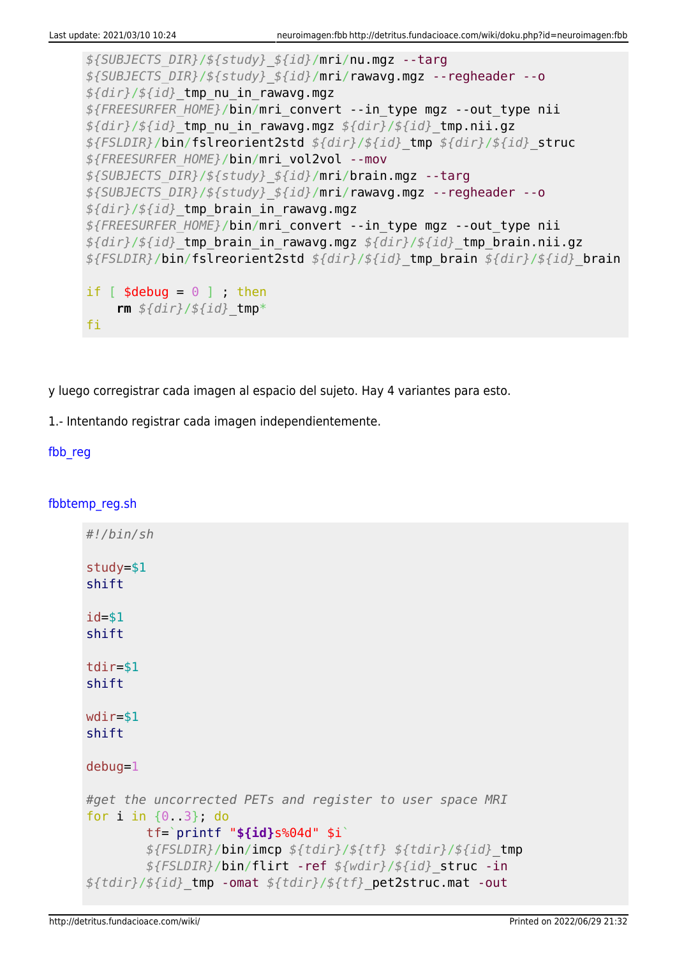```
${SUBJECTS_DIR}/${study}_${id}/mri/nu.mgz --targ
${SUBJECTS_DIR}/${study}_${id}/mri/rawavg.mgz --regheader --o
${dir}/${id}_tmp_nu_in_rawavg.mgz
${FREESURFER_HOME}/bin/mri_convert --in_type mgz --out_type nii
${dir}/${id}_tmp_nu_in_rawavg.mgz ${dir}/${id}_tmp.nii.gz
${FSLDIR}/bin/fslreorient2std ${dir}/${id}_tmp ${dir}/${id}_struc
${FREESURFER_HOME}/bin/mri_vol2vol --mov
${SUBJECTS_DIR}/${study}_${id}/mri/brain.mgz --targ
${SUBJECTS_DIR}/${study}_${id}/mri/rawavg.mgz --regheader --o
${dir}/${id}_tmp_brain_in_rawavg.mgz
${FREESURFER_HOME}/bin/mri_convert --in_type mgz --out_type nii
${dir}/${id}_tmp_brain_in_rawavg.mgz ${dir}/${id}_tmp_brain.nii.gz
${FSLDIR}/bin/fslreorient2std ${dir}/${id}_tmp_brain ${dir}/${id}_brain
if [ $debug = \theta ] ; then
     rm ${dir}/${id}_tmp*
fi
```
y luego corregistrar cada imagen al espacio del sujeto. Hay 4 variantes para esto.

1.- Intentando registrar cada imagen independientemente.

#### fbb reg

#### [fbbtemp\\_reg.sh](http://detritus.fundacioace.com/wiki/doku.php?do=export_code&id=neuroimagen:fbb&codeblock=7)

| #!/bin/sh                                                                                                                                                                                                                                                     |
|---------------------------------------------------------------------------------------------------------------------------------------------------------------------------------------------------------------------------------------------------------------|
| $study = $1$<br>shift                                                                                                                                                                                                                                         |
| $id = $1$<br>shift                                                                                                                                                                                                                                            |
| $tdir = $1$<br>shift                                                                                                                                                                                                                                          |
| $wdir = $1$<br>shift                                                                                                                                                                                                                                          |
| $debug=1$                                                                                                                                                                                                                                                     |
| #get the uncorrected PETs and register to user space MRI<br>for $i$ in $\{0, 3\}$ , do<br>$tf='printf$ "\$ $\{id\}s$ %04d" \$i`<br>$${FSLDIR}/bin/inn$ $${tdir}/${tf}$ $${tdir}/${tf}$ $${tdir}/${gl}$<br>\${FSLDIR}/bin/flirt -ref \${wdir}/\${id}_struc -in |
| $$ {tdir} / ${id}$ tmp -omat $$ {tdir} / ${tf}$ pet2struc.mat -out                                                                                                                                                                                            |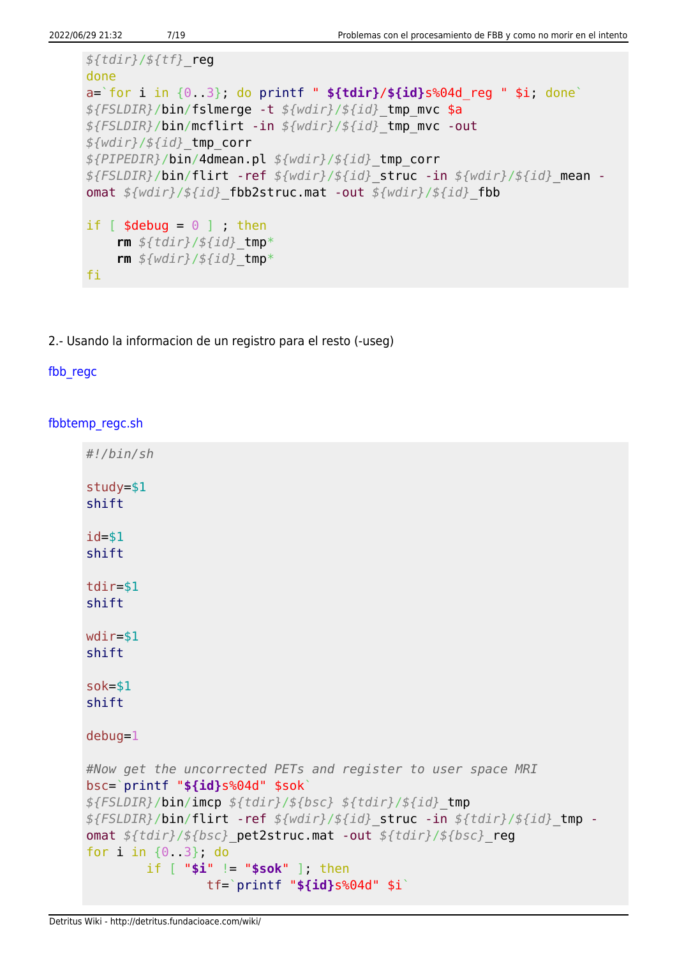```
${tdir}/${tf}_reg
done
a=`for i in {0..3}; do printf " ${tdir}/${id}s%04d_reg " $i; done`
${FSLDIR}/bin/fslmerge -t ${wdir}/${id}_tmp_mvc $a
${FSLDIR}/bin/mcflirt -in ${wdir}/${id}_tmp_mvc -out
${wdir}/${id}_tmp_corr
${PIPEDIR}/bin/4dmean.pl ${wdir}/${id}_tmp_corr
${FSLDIR}/bin/flirt -ref ${wdir}/${id}_struc -in ${wdir}/${id}_mean -
omat ${wdir}/${id}_fbb2struc.mat -out ${wdir}/${id}_fbb
if \lceil $debug = \theta \rceil ; then
     rm ${tdir}/${id}_tmp*
     rm ${wdir}/${id}_tmp*
fi
```
2.- Usando la informacion de un registro para el resto (-useg)

#### fbb regc

[fbbtemp\\_regc.sh](http://detritus.fundacioace.com/wiki/doku.php?do=export_code&id=neuroimagen:fbb&codeblock=8)

```
#!/bin/sh
study=$1
shift
id=$1
shift
tdir=$1
shift
wdir=$1
shift
sok=$1
shift
debug=1
#Now get the uncorrected PETs and register to user space MRI
bsc=`printf "${id}s%04d" $sok`
${FSLDIR}/bin/imcp ${tdir}/${bsc} ${tdir}/${id}_tmp
${FSLDIR}/bin/flirt -ref ${wdir}/${id}_struc -in ${tdir}/${id}_tmp -
omat ${tdir}/${bsc}_pet2struc.mat -out ${tdir}/${bsc}_reg
for i in {0..3}; do
         if [ "$i" != "$sok" ]; then
                 tf=`printf "${id}s%04d" $i`
```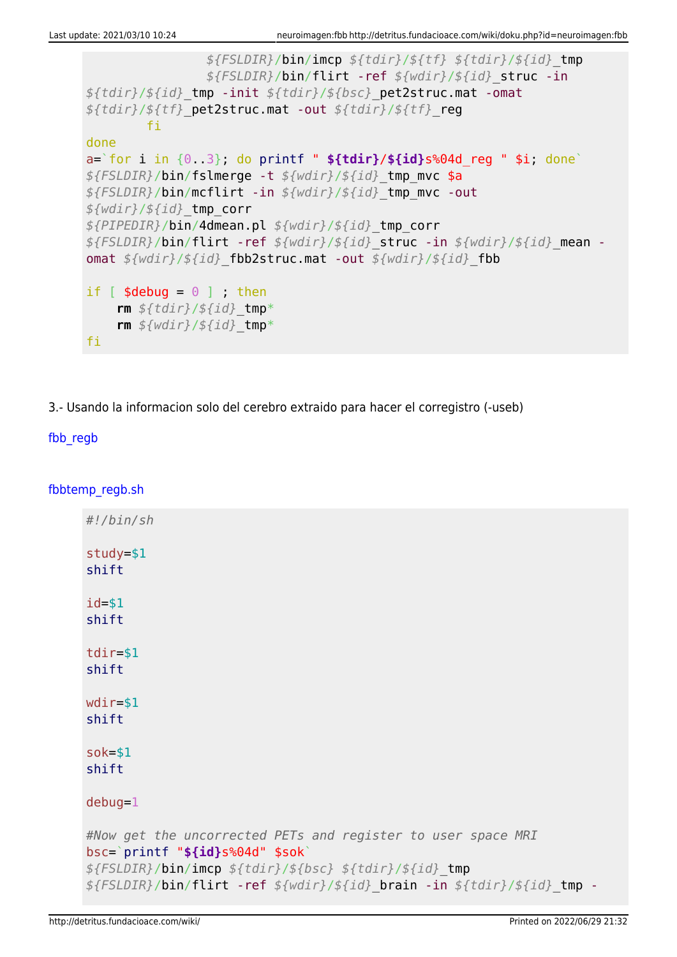```
 ${FSLDIR}/bin/imcp ${tdir}/${tf} ${tdir}/${id}_tmp
                 ${FSLDIR}/bin/flirt -ref ${wdir}/${id}_struc -in
${tdir}/${id}_tmp -init ${tdir}/${bsc}_pet2struc.mat -omat
${tdir}/${tf}_pet2struc.mat -out ${tdir}/${tf}_reg
         fi
done
a=`for i in {0..3}; do printf " ${tdir}/${id}s%04d_reg " $i; done`
${FSLDIR}/bin/fslmerge -t ${wdir}/${id}_tmp_mvc $a
${FSLDIR}/bin/mcflirt -in ${wdir}/${id}_tmp_mvc -out
${wdir}/${id}_tmp_corr
${PIPEDIR}/bin/4dmean.pl ${wdir}/${id}_tmp_corr
${FSLDIR}/bin/flirt -ref ${wdir}/${id}_struc -in ${wdir}/${id}_mean -
omat ${wdir}/${id}_fbb2struc.mat -out ${wdir}/${id}_fbb
if [ $debug = \theta ] ; then
     rm ${tdir}/${id}_tmp*
     rm ${wdir}/${id}_tmp*
fi
```
3.- Usando la informacion solo del cerebro extraido para hacer el corregistro (-useb)

### [fbb\\_regb](#page--1-0)

[fbbtemp\\_regb.sh](http://detritus.fundacioace.com/wiki/doku.php?do=export_code&id=neuroimagen:fbb&codeblock=9)

```
#!/bin/sh
study=$1
shift
id=$1
shift
tdir=$1
shift
wdir=$1
shift
sok=$1
shift
debug=1
#Now get the uncorrected PETs and register to user space MRI
bsc=`printf "${id}s%04d" $sok`
${FSLDIR}/bin/imcp ${tdir}/${bsc} ${tdir}/${id}_tmp
${FSLDIR}/bin/flirt -ref ${wdir}/${id}_brain -in ${tdir}/${id}_tmp -
```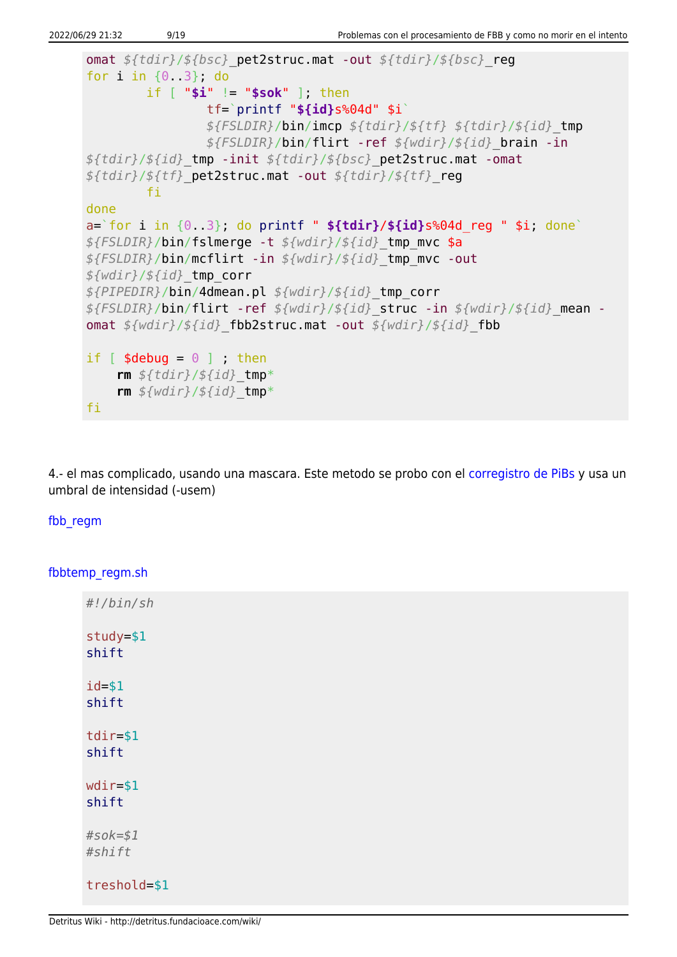```
omat ${tdir}/${bsc}_pet2struc.mat -out ${tdir}/${bsc}_reg
for i in {0..3}; do
         if [ "$i" != "$sok" ]; then
                 tf=`printf "${id}s%04d" $i`
                 ${FSLDIR}/bin/imcp ${tdir}/${tf} ${tdir}/${id}_tmp
                 ${FSLDIR}/bin/flirt -ref ${wdir}/${id}_brain -in
${tdir}/${id}_tmp -init ${tdir}/${bsc}_pet2struc.mat -omat
${tdir}/${tf}_pet2struc.mat -out ${tdir}/${tf}_reg
         fi
done
a=`for i in {0..3}; do printf " ${tdir}/${id}s%04d_reg " $i; done`
${FSLDIR}/bin/fslmerge -t ${wdir}/${id}_tmp_mvc $a
${FSLDIR}/bin/mcflirt -in ${wdir}/${id}_tmp_mvc -out
${wdir}/${id}_tmp_corr
${PIPEDIR}/bin/4dmean.pl ${wdir}/${id}_tmp_corr
${FSLDIR}/bin/flirt -ref ${wdir}/${id}_struc -in ${wdir}/${id}_mean -
omat ${wdir}/${id}_fbb2struc.mat -out ${wdir}/${id}_fbb
if \lceil $debug = \theta ] ; then
     rm ${tdir}/${id}_tmp*
     rm ${wdir}/${id}_tmp*
fi
```
4.- el mas complicado, usando una mascara. Este metodo se probo con el [corregistro de PiBs](http://detritus.fundacioace.com/wiki/doku.php?id=neuroimagen:pib_troubles) y usa un umbral de intensidad (-usem)

#### [fbb\\_regm](#page--1-0)

[fbbtemp\\_regm.sh](http://detritus.fundacioace.com/wiki/doku.php?do=export_code&id=neuroimagen:fbb&codeblock=10)

| #!/bin/sh             |  |
|-----------------------|--|
| $study = $1$<br>shift |  |
| $id = $1$<br>shift    |  |
| $tdir = $1$<br>shift  |  |
| $wdir = $1$<br>shift  |  |
| $#s$ ok=\$1<br>#shift |  |
| treshold=\$1          |  |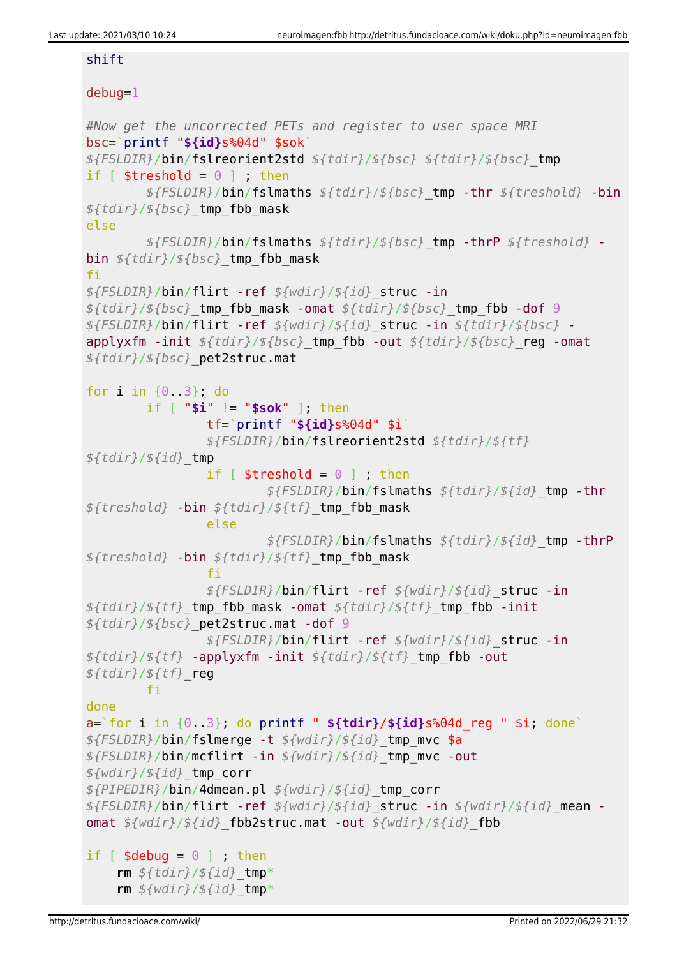#### shift

### debug=1

```
#Now get the uncorrected PETs and register to user space MRI
bsc=`printf "${id}s%04d" $sok`
${FSLDIR}/bin/fslreorient2std ${tdir}/${bsc} ${tdir}/${bsc}_tmp
if [ $treshold = 0 ] ; then
         ${FSLDIR}/bin/fslmaths ${tdir}/${bsc}_tmp -thr ${treshold} -bin
${tdir}/${bsc}_tmp_fbb_mask
else
         ${FSLDIR}/bin/fslmaths ${tdir}/${bsc}_tmp -thrP ${treshold} -
bin ${tdir}/${bsc}_tmp_fbb_mask
fi
${FSLDIR}/bin/flirt -ref ${wdir}/${id}_struc -in
${tdir}/${bsc}_tmp_fbb_mask -omat ${tdir}/${bsc}_tmp_fbb -dof 9
${FSLDIR}/bin/flirt -ref ${wdir}/${id}_struc -in ${tdir}/${bsc} -
applyxfm -init ${tdir}/${bsc}_tmp_fbb -out ${tdir}/${bsc}_reg -omat
${tdir}/${bsc}_pet2struc.mat
for i in {0..3}; do
         if [ "$i" != "$sok" ]; then
                 tf=`printf "${id}s%04d" $i`
                 ${FSLDIR}/bin/fslreorient2std ${tdir}/${tf}
${tdir}/${id}_tmp
                if \lceil $treshold = \theta \rceil ; then
                          ${FSLDIR}/bin/fslmaths ${tdir}/${id}_tmp -thr
${treshold} -bin ${tdir}/${tf}_tmp_fbb_mask
                 else
                          ${FSLDIR}/bin/fslmaths ${tdir}/${id}_tmp -thrP
${treshold} -bin ${tdir}/${tf}_tmp_fbb_mask
film and the film of the film
                 ${FSLDIR}/bin/flirt -ref ${wdir}/${id}_struc -in
${tdir}/${tf}_tmp_fbb_mask -omat ${tdir}/${tf}_tmp_fbb -init
${tdir}/${bsc}_pet2struc.mat -dof 9
                 ${FSLDIR}/bin/flirt -ref ${wdir}/${id}_struc -in
${tdir}/${tf} -applyxfm -init ${tdir}/${tf}_tmp_fbb -out
${tdir}/${tf}_reg
         fi
done
a=`for i in {0..3}; do printf " ${tdir}/${id}s%04d_reg " $i; done`
${FSLDIR}/bin/fslmerge -t ${wdir}/${id}_tmp_mvc $a
${FSLDIR}/bin/mcflirt -in ${wdir}/${id}_tmp_mvc -out
${wdir}/${id}_tmp_corr
${PIPEDIR}/bin/4dmean.pl ${wdir}/${id}_tmp_corr
${FSLDIR}/bin/flirt -ref ${wdir}/${id}_struc -in ${wdir}/${id}_mean -
omat ${wdir}/${id}_fbb2struc.mat -out ${wdir}/${id}_fbb
if \lceil $debug = \theta ] ; then
     rm ${tdir}/${id}_tmp*
     rm ${wdir}/${id}_tmp*
```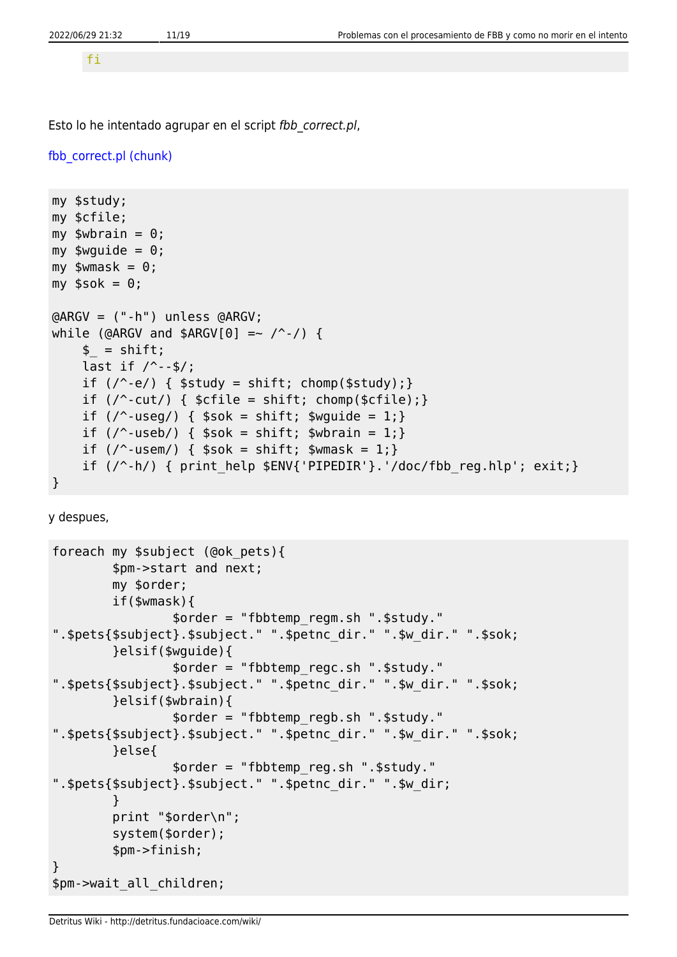fi

Esto lo he intentado agrupar en el script fbb correct.pl,

```
fbb correct.pl (chunk)
```

```
my $study;
my $cfile;
my $wbrain = 0;
my \text{wguide} = 0;
my $wmask = 0;my $sok = 0;
@ARGV = ("-h") unless @ARGV;
while (@ARGV and $ARGV[0] =~ \wedge -/) {
     $ = shift;last if / --$/;
     if (\wedge^2-e) { $study = shift; chomp($study); }
     if \left(\frac{\ }{2}\right) { \left(\frac{\ }{2}\right) { \left(\frac{\ }{2}\right) = shift; chomp(\left(\frac{\ }{2}\right)); }
     if \left(\frac{\ }{2}\right) { \frac{\ }{2} sok = shift; \frac{\ }{2} swquide = 1; }
     if \left(\frac{\ }{2} \right) { \frac{\ }{2} $sok = shift; $wbrain = 1; }
     if (\sqrt{2} - u \sin x) { \sin x = \sin x + u \sin x }
     if (\frac{\ }{2}) { print help $ENV{'PIPEDIR'}.'/doc/fbb reg.hlp'; exit;}
}
```
y despues,

```
foreach my $subject (@ok_pets){
         $pm->start and next;
         my $order;
         if($wmask){
                 $order = "fbbtemp_regm.sh ".$study."
".$pets{$subject}.$subject." ".$petnc_dir." ".$w_dir." ".$sok;
         }elsif($wguide){
                 $order = "fbbtemp_regc.sh ".$study."
".$pets{$subject}.$subject." ".$petnc_dir." ".$w_dir." ".$sok;
         }elsif($wbrain){
                 $order = "fbbtemp_regb.sh ".$study."
".$pets{$subject}.$subject." ".$petnc_dir." ".$w_dir." ".$sok;
         }else{
                 $order = "fbbtemp_reg.sh ".$study."
".$pets{$subject}.$subject." ".$petnc_dir." ".$w_dir;
 }
         print "$order\n";
         system($order);
         $pm->finish;
}
$pm->wait_all_children;
```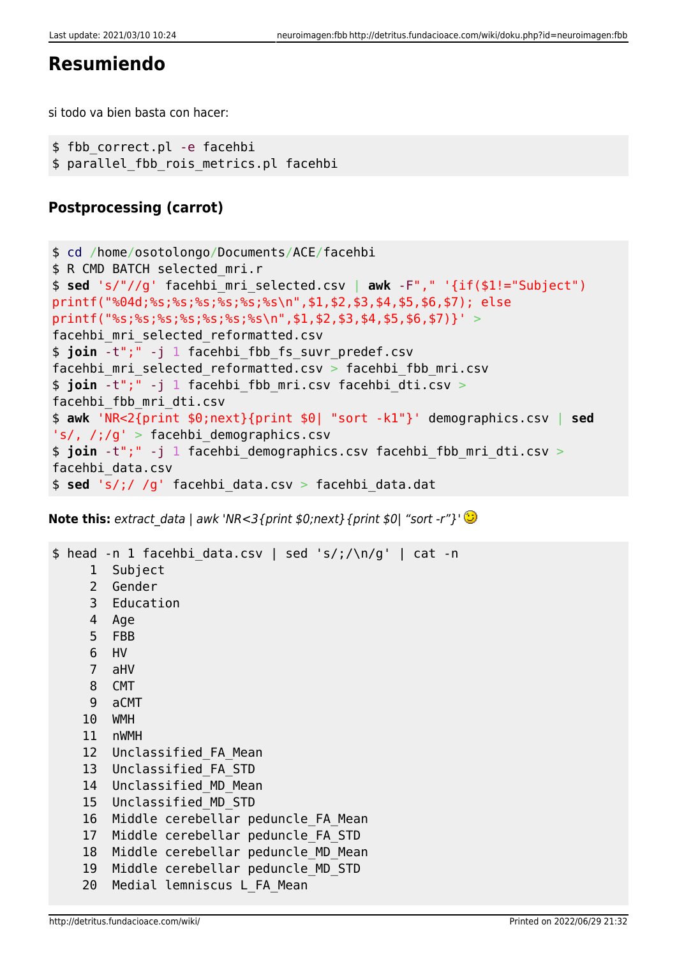# **Resumiendo**

si todo va bien basta con hacer:

```
$ fbb correct.pl -e facehbi
$ parallel fbb rois metrics.pl facehbi
```
# **Postprocessing (carrot)**

```
$ cd /home/osotolongo/Documents/ACE/facehbi
$ R CMD BATCH selected_mri.r
$ sed 's/"//g' facehbi_mri_selected.csv | awk -F"," '{if($1!="Subject")
printf("%04d;%s;%s;%s;%s;%s;%s\n",$1,$2,$3,$4,$5,$6,$7); else
printf("%s;%s;%s;%s;%s;%s\n",$1,$2,$3,$4,$5,$6,$7)}' >
facehbi_mri_selected_reformatted.csv
$ join -t";" -j 1 facehbi_fbb_fs_suvr_predef.csv
facehbi mri selected reformatted.csv > facehbi fbb mri.csv
$ join -t";" -j 1 facehbi_fbb_mri.csv facehbi_dti.csv >
facehbi_fbb_mri_dti.csv
$ awk 'NR<2{print $0;next}{print $0| "sort -k1"}' demographics.csv | sed
's/, /;/g' > facehbi demographics.csv
$ join -t";" -j 1 facehbi demographics.csv facehbi fbb mri dti.csv >
facehbi_data.csv
$ sed 's/;/ /g' facehbi_data.csv > facehbi_data.dat
```
**Note this:** extract data | awk 'NR<3{print  $$0;$ next}{print  $$0|$  "sort -r"}'  $\bigcirc$ 

```
$ head -n 1 facehbi data.csv | sed 's/;/\n/q' | cat -n 1 Subject
     2 Gender
     3 Education
     4 Age
     5 FBB
     6 HV
     7 aHV
     8 CMT
     9 aCMT
     10 WMH
     11 nWMH
     12 Unclassified_FA_Mean
     13 Unclassified_FA_STD
     14 Unclassified_MD_Mean
     15 Unclassified_MD_STD
     16 Middle cerebellar peduncle_FA_Mean
    17 Middle cerebellar peduncle FA STD
    18 Middle cerebellar peduncle MD Mean
     19 Middle cerebellar peduncle_MD_STD
    20 Medial lemniscus L_FA_Mean
```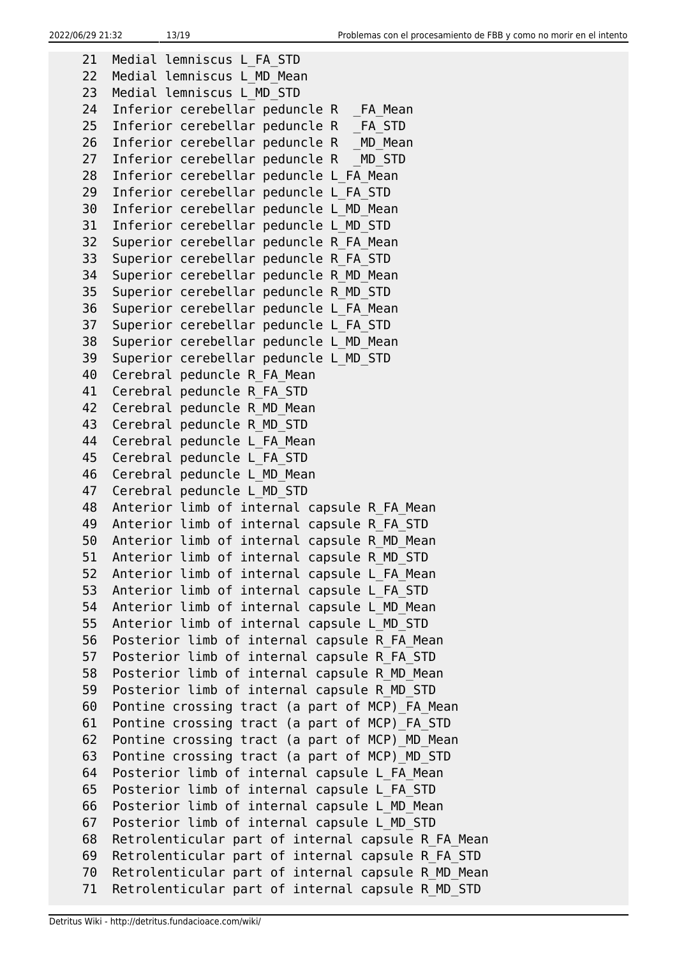21 Medial lemniscus L\_FA\_STD 22 Medial lemniscus L\_MD\_Mean 23 Medial lemniscus L\_MD\_STD 24 Inferior cerebellar peduncle R FA Mean 25 Inferior cerebellar peduncle R FA STD 26 Inferior cerebellar peduncle R \_MD Mean 27 Inferior cerebellar peduncle R \_ MD\_STD 28 Inferior cerebellar peduncle L\_FA\_Mean 29 Inferior cerebellar peduncle L\_FA\_STD 30 Inferior cerebellar peduncle L\_MD\_Mean 31 Inferior cerebellar peduncle L\_MD\_STD 32 Superior cerebellar peduncle R\_FA\_Mean 33 Superior cerebellar peduncle R\_FA\_STD 34 Superior cerebellar peduncle R\_MD\_Mean 35 Superior cerebellar peduncle R\_MD\_STD 36 Superior cerebellar peduncle L\_FA\_Mean 37 Superior cerebellar peduncle L\_FA\_STD 38 Superior cerebellar peduncle L\_MD\_Mean 39 Superior cerebellar peduncle L\_MD\_STD 40 Cerebral peduncle R\_FA\_Mean 41 Cerebral peduncle R\_FA\_STD 42 Cerebral peduncle R MD Mean 43 Cerebral peduncle R\_MD\_STD 44 Cerebral peduncle L FA Mean 45 Cerebral peduncle L\_FA\_STD 46 Cerebral peduncle L\_MD\_Mean 47 Cerebral peduncle L\_MD\_STD 48 Anterior limb of internal capsule R FA Mean 49 Anterior limb of internal capsule R\_FA\_STD 50 Anterior limb of internal capsule R\_MD\_Mean 51 Anterior limb of internal capsule R\_MD\_STD 52 Anterior limb of internal capsule L\_FA\_Mean 53 Anterior limb of internal capsule L\_FA\_STD 54 Anterior limb of internal capsule L\_MD\_Mean 55 Anterior limb of internal capsule L\_MD\_STD 56 Posterior limb of internal capsule R\_FA\_Mean 57 Posterior limb of internal capsule R\_FA\_STD 58 Posterior limb of internal capsule R\_MD\_Mean 59 Posterior limb of internal capsule R\_MD\_STD 60 Pontine crossing tract (a part of MCP)\_FA\_Mean 61 Pontine crossing tract (a part of MCP)\_FA\_STD 62 Pontine crossing tract (a part of MCP)\_MD\_Mean 63 Pontine crossing tract (a part of MCP)\_MD\_STD 64 Posterior limb of internal capsule L\_FA\_Mean 65 Posterior limb of internal capsule L\_FA\_STD 66 Posterior limb of internal capsule L\_MD\_Mean 67 Posterior limb of internal capsule L\_MD\_STD 68 Retrolenticular part of internal capsule R\_FA\_Mean 69 Retrolenticular part of internal capsule R\_FA\_STD 70 Retrolenticular part of internal capsule R\_MD\_Mean 71 Retrolenticular part of internal capsule R\_MD\_STD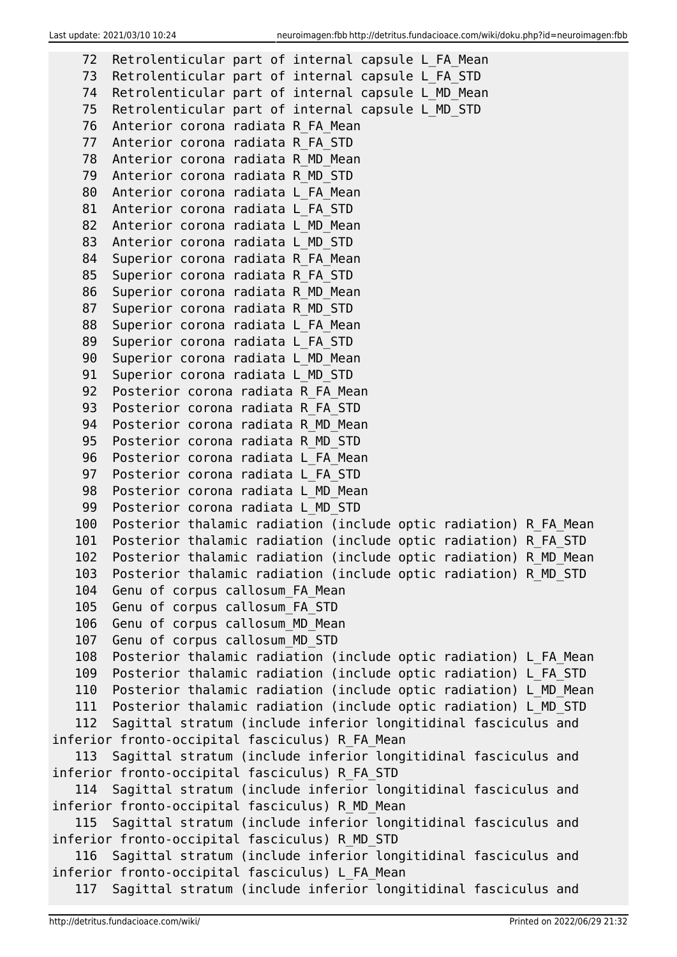| 72         | Retrolenticular part of internal capsule L FA Mean                                                                                  |
|------------|-------------------------------------------------------------------------------------------------------------------------------------|
| 73         | Retrolenticular part of internal capsule L FA STD                                                                                   |
| 74         | Retrolenticular part of internal capsule L MD Mean                                                                                  |
| 75         | Retrolenticular part of internal capsule L MD STD                                                                                   |
| 76         | Anterior corona radiata R FA Mean                                                                                                   |
| 77         | Anterior corona radiata R FA STD                                                                                                    |
| 78         | Anterior corona radiata R MD Mean                                                                                                   |
| 79         | Anterior corona radiata R MD STD                                                                                                    |
| 80         | Anterior corona radiata L FA Mean                                                                                                   |
| 81         | Anterior corona radiata L FA STD                                                                                                    |
| 82         | Anterior corona radiata L MD Mean                                                                                                   |
| 83         | Anterior corona radiata L MD STD                                                                                                    |
| 84         | Superior corona radiata R FA Mean                                                                                                   |
| 85         | Superior corona radiata R FA STD                                                                                                    |
| 86         | Superior corona radiata R MD Mean                                                                                                   |
| 87         | Superior corona radiata R MD STD                                                                                                    |
| 88         | Superior corona radiata L FA Mean                                                                                                   |
| 89         | Superior corona radiata L FA STD                                                                                                    |
| 90         | Superior corona radiata L MD Mean                                                                                                   |
| 91         | Superior corona radiata L MD STD                                                                                                    |
| 92         | Posterior corona radiata R FA Mean                                                                                                  |
| 93         | Posterior corona radiata R FA STD                                                                                                   |
| 94         | Posterior corona radiata R MD Mean                                                                                                  |
| 95         | Posterior corona radiata R MD STD                                                                                                   |
| 96         | Posterior corona radiata L FA Mean                                                                                                  |
| 97         | Posterior corona radiata L FA STD                                                                                                   |
| 98         | Posterior corona radiata L MD Mean                                                                                                  |
| 99         | Posterior corona radiata L MD STD                                                                                                   |
| 100        | Posterior thalamic radiation (include optic radiation) R FA Mean                                                                    |
| 101<br>102 | Posterior thalamic radiation (include optic radiation) R FA STD<br>Posterior thalamic radiation (include optic radiation) R_MD_Mean |
| 103        | Posterior thalamic radiation (include optic radiation) R MD STD                                                                     |
| 104        | Genu of corpus callosum FA Mean                                                                                                     |
| 105        | Genu of corpus callosum FA STD                                                                                                      |
| 106        | Genu of corpus callosum_MD_Mean                                                                                                     |
| 107        | Genu of corpus callosum MD STD                                                                                                      |
| 108        | Posterior thalamic radiation (include optic radiation) L FA Mean                                                                    |
| 109        | Posterior thalamic radiation (include optic radiation) L FA STD                                                                     |
| 110        | Posterior thalamic radiation (include optic radiation) L MD Mean                                                                    |
| 111        | Posterior thalamic radiation (include optic radiation) L_MD_STD                                                                     |
| 112        | Sagittal stratum (include inferior longitidinal fasciculus and                                                                      |
|            | inferior fronto-occipital fasciculus) R FA Mean                                                                                     |
| 113        | Sagittal stratum (include inferior longitidinal fasciculus and                                                                      |
|            | inferior fronto-occipital fasciculus) R FA STD                                                                                      |
|            | 114 Sagittal stratum (include inferior longitidinal fasciculus and                                                                  |
|            | inferior fronto-occipital fasciculus) R MD Mean                                                                                     |
| 115        | Sagittal stratum (include inferior longitidinal fasciculus and                                                                      |
|            | inferior fronto-occipital fasciculus) R MD STD                                                                                      |
|            | 116 Sagittal stratum (include inferior longitidinal fasciculus and                                                                  |
|            | inferior fronto-occipital fasciculus) L FA Mean                                                                                     |
| 117        | Sagittal stratum (include inferior longitidinal fasciculus and                                                                      |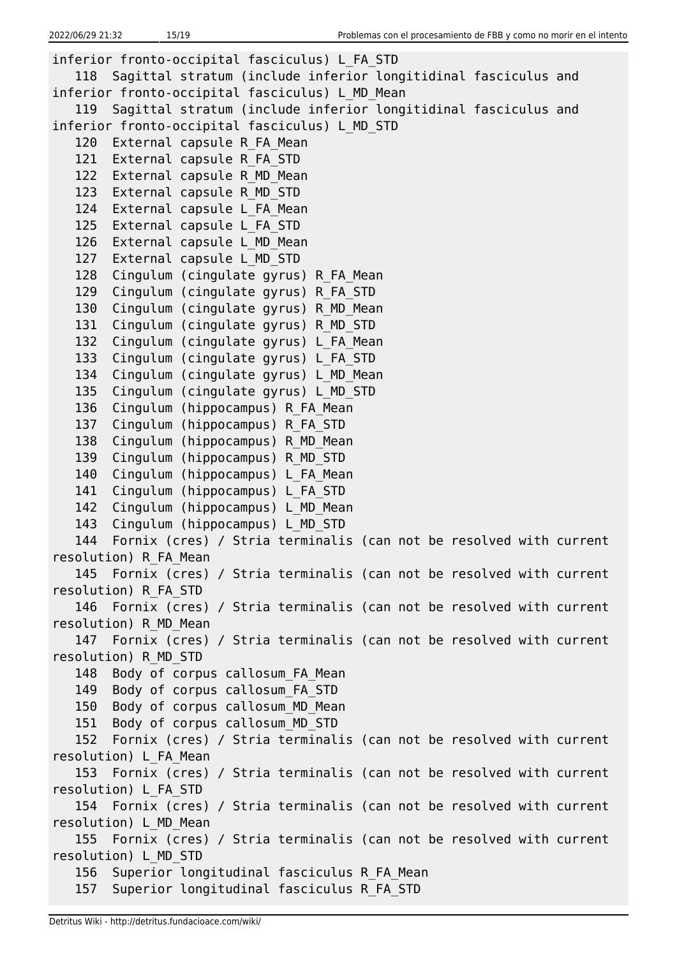```
inferior fronto-occipital fasciculus) L_FA_STD
   118 Sagittal stratum (include inferior longitidinal fasciculus and
inferior fronto-occipital fasciculus) L_MD_Mean
   119 Sagittal stratum (include inferior longitidinal fasciculus and
inferior fronto-occipital fasciculus) L_MD_STD
  120 External capsule R FA Mean
   121 External capsule R_FA_STD
  122 External capsule R MD Mean
   123 External capsule R_MD_STD
  124 External capsule L FA Mean
   125 External capsule L_FA_STD
  126 External capsule L MD Mean
   127 External capsule L_MD_STD
   128 Cingulum (cingulate gyrus) R_FA_Mean
   129 Cingulum (cingulate gyrus) R_FA_STD
   130 Cingulum (cingulate gyrus) R_MD_Mean
   131 Cingulum (cingulate gyrus) R_MD_STD
   132 Cingulum (cingulate gyrus) L_FA_Mean
   133 Cingulum (cingulate gyrus) L_FA_STD
   134 Cingulum (cingulate gyrus) L_MD_Mean
   135 Cingulum (cingulate gyrus) L_MD_STD
  136 Cingulum (hippocampus) R FA Mean
  137 Cingulum (hippocampus) R FA STD
  138 Cingulum (hippocampus) R MD Mean
  139 Cingulum (hippocampus) R MD STD
  140 Cingulum (hippocampus) L FA Mean
  141 Cingulum (hippocampus) L FA STD
  142 Cingulum (hippocampus) L MD Mean
  143 Cingulum (hippocampus) L MD STD
   144 Fornix (cres) / Stria terminalis (can not be resolved with current
resolution) R_FA_Mean
   145 Fornix (cres) / Stria terminalis (can not be resolved with current
resolution) R_FA_STD
   146 Fornix (cres) / Stria terminalis (can not be resolved with current
resolution) R_MD_Mean
   147 Fornix (cres) / Stria terminalis (can not be resolved with current
resolution) R_MD_STD
  148 Body of corpus callosum FA Mean
   149 Body of corpus callosum_FA_STD
   150 Body of corpus callosum_MD_Mean
   151 Body of corpus callosum_MD_STD
   152 Fornix (cres) / Stria terminalis (can not be resolved with current
resolution) L_FA_Mean
   153 Fornix (cres) / Stria terminalis (can not be resolved with current
resolution) L_FA_STD
   154 Fornix (cres) / Stria terminalis (can not be resolved with current
resolution) L_MD_Mean
   155 Fornix (cres) / Stria terminalis (can not be resolved with current
resolution) L_MD_STD
   156 Superior longitudinal fasciculus R_FA_Mean
   157 Superior longitudinal fasciculus R_FA_STD
```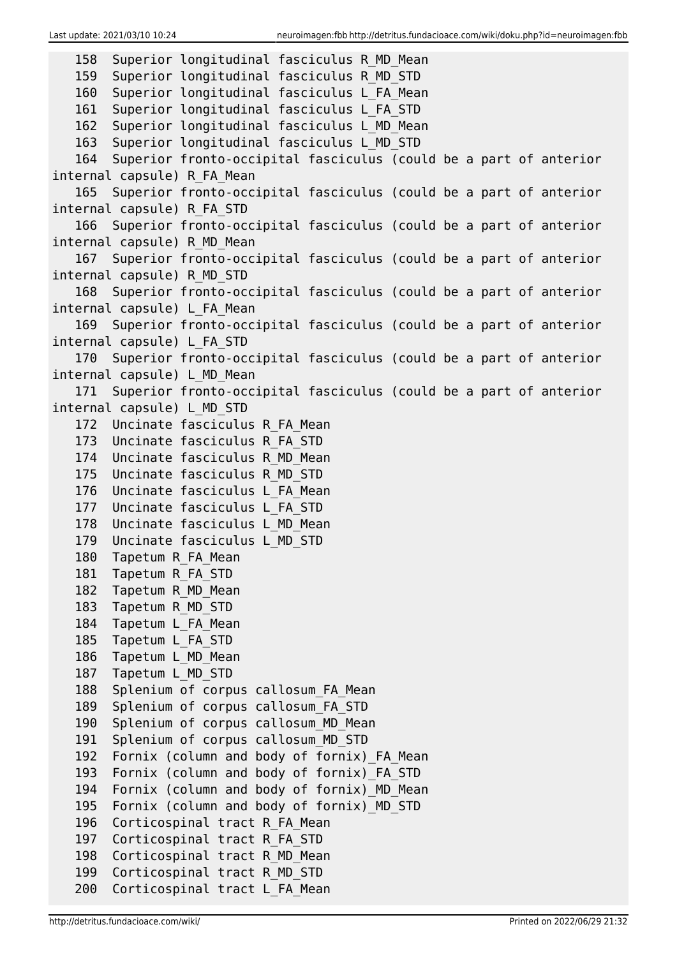```
 158 Superior longitudinal fasciculus R_MD_Mean
   159 Superior longitudinal fasciculus R_MD_STD
   160 Superior longitudinal fasciculus L_FA_Mean
   161 Superior longitudinal fasciculus L_FA_STD
   162 Superior longitudinal fasciculus L_MD_Mean
   163 Superior longitudinal fasciculus L_MD_STD
   164 Superior fronto-occipital fasciculus (could be a part of anterior
internal capsule) R_FA_Mean
   165 Superior fronto-occipital fasciculus (could be a part of anterior
internal capsule) R_FA_STD
   166 Superior fronto-occipital fasciculus (could be a part of anterior
internal capsule) R_MD_Mean
   167 Superior fronto-occipital fasciculus (could be a part of anterior
internal capsule) R_MD_STD
   168 Superior fronto-occipital fasciculus (could be a part of anterior
internal capsule) L_FA_Mean
   169 Superior fronto-occipital fasciculus (could be a part of anterior
internal capsule) L_FA_STD
   170 Superior fronto-occipital fasciculus (could be a part of anterior
internal capsule) L_MD_Mean
   171 Superior fronto-occipital fasciculus (could be a part of anterior
internal capsule) L_MD_STD
   172 Uncinate fasciculus R_FA_Mean
   173 Uncinate fasciculus R_FA_STD
   174 Uncinate fasciculus R_MD_Mean
   175 Uncinate fasciculus R_MD_STD
  176 Uncinate fasciculus L FA Mean
   177 Uncinate fasciculus L_FA_STD
   178 Uncinate fasciculus L_MD_Mean
   179 Uncinate fasciculus L_MD_STD
   180 Tapetum R_FA_Mean
   181 Tapetum R_FA_STD
   182 Tapetum R_MD_Mean
   183 Tapetum R_MD_STD
  184 Tapetum L FA Mean
   185 Tapetum L_FA_STD
   186 Tapetum L_MD_Mean
   187 Tapetum L_MD_STD
  188 Splenium of corpus callosum FA Mean
   189 Splenium of corpus callosum_FA_STD
   190 Splenium of corpus callosum_MD_Mean
   191 Splenium of corpus callosum_MD_STD
  192 Fornix (column and body of fornix) FA Mean
   193 Fornix (column and body of fornix)_FA_STD
  194 Fornix (column and body of fornix) MD Mean
   195 Fornix (column and body of fornix)_MD_STD
   196 Corticospinal tract R_FA_Mean
   197 Corticospinal tract R_FA_STD
  198 Corticospinal tract R MD Mean
   199 Corticospinal tract R_MD_STD
   200 Corticospinal tract L_FA_Mean
```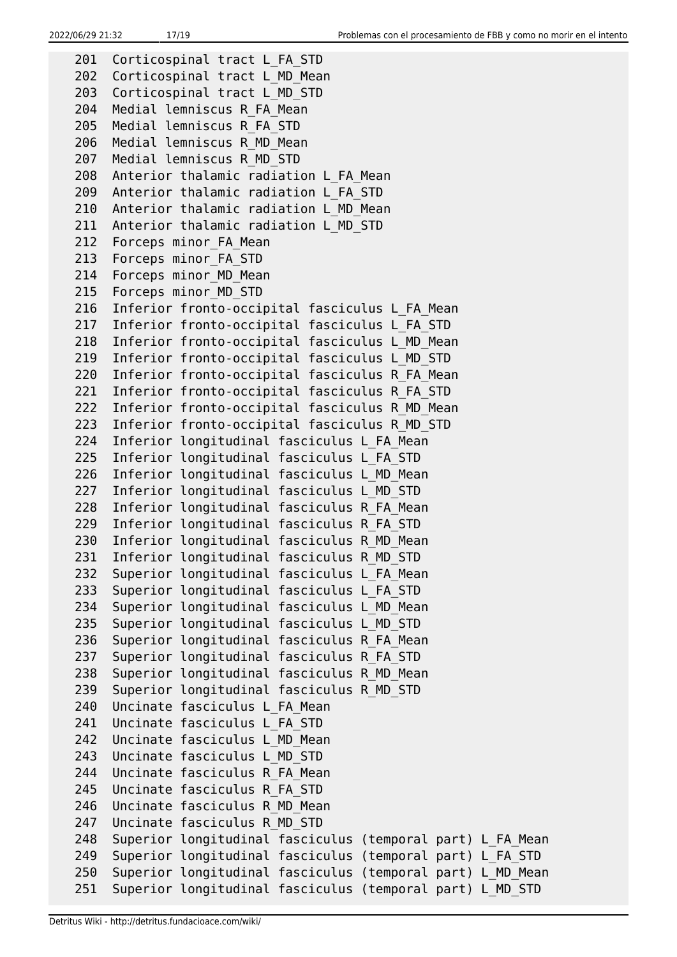```
201 Corticospinal tract L FA STD
 202 Corticospinal tract L_MD_Mean
 203 Corticospinal tract L_MD_STD
 204 Medial lemniscus R_FA_Mean
 205 Medial lemniscus R_FA_STD
 206 Medial lemniscus R_MD_Mean
 207 Medial lemniscus R_MD_STD
 208 Anterior thalamic radiation L_FA_Mean
 209 Anterior thalamic radiation L_FA_STD
 210 Anterior thalamic radiation L_MD_Mean
 211 Anterior thalamic radiation L_MD_STD
212 Forceps minor FA Mean
213 Forceps minor FA STD
214 Forceps minor MD Mean
215 Forceps minor MD STD
 216 Inferior fronto-occipital fasciculus L_FA_Mean
 217 Inferior fronto-occipital fasciculus L_FA_STD
 218 Inferior fronto-occipital fasciculus L_MD_Mean
 219 Inferior fronto-occipital fasciculus L_MD_STD
 220 Inferior fronto-occipital fasciculus R_FA_Mean
 221 Inferior fronto-occipital fasciculus R_FA_STD
 222 Inferior fronto-occipital fasciculus R_MD_Mean
 223 Inferior fronto-occipital fasciculus R_MD_STD
 224 Inferior longitudinal fasciculus L_FA_Mean
 225 Inferior longitudinal fasciculus L_FA_STD
 226 Inferior longitudinal fasciculus L_MD_Mean
 227 Inferior longitudinal fasciculus L_MD_STD
 228 Inferior longitudinal fasciculus R_FA_Mean
 229 Inferior longitudinal fasciculus R_FA_STD
 230 Inferior longitudinal fasciculus R_MD_Mean
 231 Inferior longitudinal fasciculus R_MD_STD
 232 Superior longitudinal fasciculus L_FA_Mean
 233 Superior longitudinal fasciculus L_FA_STD
 234 Superior longitudinal fasciculus L_MD_Mean
 235 Superior longitudinal fasciculus L_MD_STD
 236 Superior longitudinal fasciculus R_FA_Mean
 237 Superior longitudinal fasciculus R_FA_STD
 238 Superior longitudinal fasciculus R_MD_Mean
 239 Superior longitudinal fasciculus R_MD_STD
 240 Uncinate fasciculus L_FA_Mean
 241 Uncinate fasciculus L_FA_STD
 242 Uncinate fasciculus L_MD_Mean
 243 Uncinate fasciculus L_MD_STD
 244 Uncinate fasciculus R_FA_Mean
 245 Uncinate fasciculus R_FA_STD
 246 Uncinate fasciculus R_MD_Mean
 247 Uncinate fasciculus R_MD_STD
 248 Superior longitudinal fasciculus (temporal part) L_FA_Mean
 249 Superior longitudinal fasciculus (temporal part) L_FA_STD
 250 Superior longitudinal fasciculus (temporal part) L_MD_Mean
 251 Superior longitudinal fasciculus (temporal part) L_MD_STD
```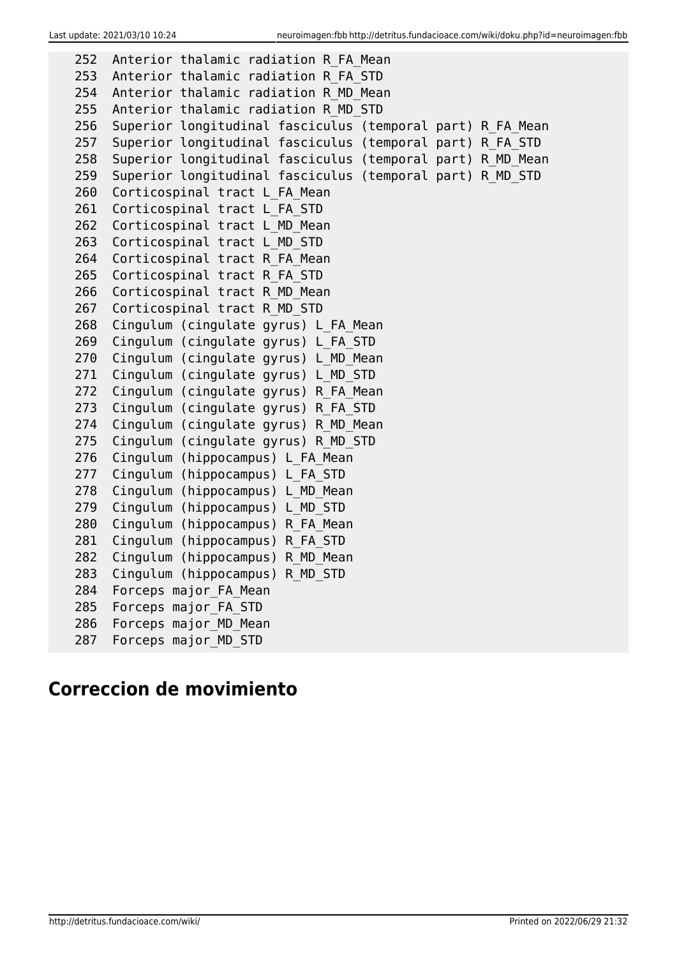| 252 | Anterior thalamic radiation R FA Mean                      |
|-----|------------------------------------------------------------|
| 253 | Anterior thalamic radiation R FA STD                       |
| 254 | Anterior thalamic radiation R MD Mean                      |
| 255 | Anterior thalamic radiation R MD STD                       |
| 256 | Superior longitudinal fasciculus (temporal part) R FA Mean |
| 257 | Superior longitudinal fasciculus (temporal part) R FA STD  |
| 258 | Superior longitudinal fasciculus (temporal part) R MD Mean |
| 259 | Superior longitudinal fasciculus (temporal part) R MD STD  |
| 260 | Corticospinal tract L FA Mean                              |
| 261 | Corticospinal tract L FA STD                               |
| 262 | Corticospinal tract L MD Mean                              |
| 263 | Corticospinal tract L MD STD                               |
| 264 | Corticospinal tract R FA Mean                              |
| 265 | Corticospinal tract R FA STD                               |
| 266 | Corticospinal tract R MD Mean                              |
| 267 | Corticospinal tract R MD STD                               |
| 268 | Cingulum (cingulate gyrus) L FA Mean                       |
| 269 | Cingulum (cingulate gyrus) L FA STD                        |
| 270 | Cingulum (cingulate gyrus) L MD Mean                       |
| 271 | Cingulum (cingulate gyrus) L MD STD                        |
| 272 | Cingulum (cingulate gyrus) R FA Mean                       |
| 273 | Cingulum (cingulate gyrus) R FA STD                        |
| 274 | Cingulum (cingulate gyrus) R MD Mean                       |
| 275 | Cingulum (cingulate gyrus) R MD STD                        |
| 276 | Cingulum (hippocampus) L FA Mean                           |
| 277 | Cingulum (hippocampus) L FA STD                            |
| 278 | Cingulum (hippocampus) L MD Mean                           |
| 279 | Cingulum (hippocampus) L MD STD                            |
| 280 | Cingulum (hippocampus) R FA Mean                           |
| 281 | Cingulum (hippocampus) R FA STD                            |
| 282 | Cingulum (hippocampus) R MD Mean                           |
| 283 | Cingulum (hippocampus) R MD STD                            |
| 284 | Forceps major FA Mean                                      |
| 285 | Forceps major FA STD                                       |
| 286 | Forceps major MD Mean                                      |
| 287 | Forceps major_MD_STD                                       |

# **Correccion de movimiento**